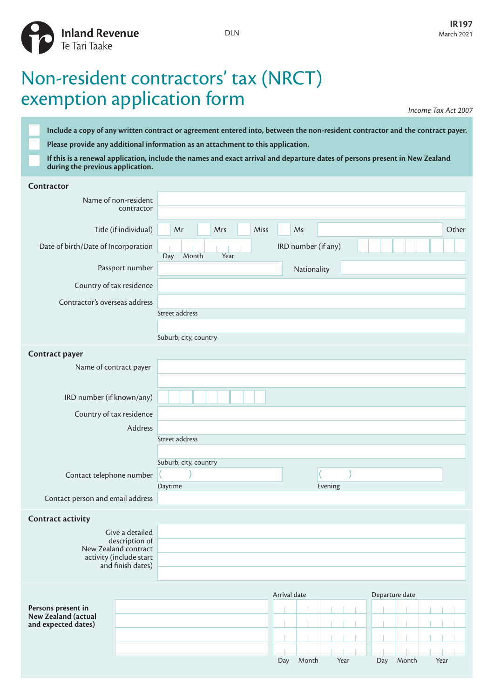

## Non-resident contractors' tax (NRCT) exemption application form

*Income Tax Act 2007*

**Include a copy of any written contract or agreement entered into, between the non-resident contractor and the contract payer. Please provide any additional information as an attachment to this application.**

**If this is a renewal application, include the names and exact arrival and departure dates of persons present in New Zealand during the previous application.**

| Contractor                                                   |                       |                       |      |      |              |                     |         |     |                |       |
|--------------------------------------------------------------|-----------------------|-----------------------|------|------|--------------|---------------------|---------|-----|----------------|-------|
|                                                              | Name of non-resident  |                       |      |      |              |                     |         |     |                |       |
|                                                              | contractor            |                       |      |      |              |                     |         |     |                |       |
|                                                              | Title (if individual) | Mr                    | Mrs  | Miss |              | Ms                  |         |     |                | Other |
| Date of birth/Date of Incorporation                          |                       | Month<br>Day          | Year |      |              | IRD number (if any) |         |     |                |       |
|                                                              | Passport number       |                       |      |      |              | Nationality         |         |     |                |       |
| Country of tax residence                                     |                       |                       |      |      |              |                     |         |     |                |       |
| Contractor's overseas address                                |                       |                       |      |      |              |                     |         |     |                |       |
|                                                              |                       | Street address        |      |      |              |                     |         |     |                |       |
|                                                              |                       | Suburb, city, country |      |      |              |                     |         |     |                |       |
|                                                              |                       |                       |      |      |              |                     |         |     |                |       |
| Contract payer<br>Name of contract payer                     |                       |                       |      |      |              |                     |         |     |                |       |
|                                                              |                       |                       |      |      |              |                     |         |     |                |       |
| IRD number (if known/any)                                    |                       |                       |      |      |              |                     |         |     |                |       |
|                                                              |                       |                       |      |      |              |                     |         |     |                |       |
| Country of tax residence<br>Address                          |                       |                       |      |      |              |                     |         |     |                |       |
| Street address                                               |                       |                       |      |      |              |                     |         |     |                |       |
|                                                              |                       |                       |      |      |              |                     |         |     |                |       |
|                                                              |                       | Suburb, city, country |      |      |              |                     |         |     |                |       |
| Contact telephone number<br>Contact person and email address |                       | Daytime               |      |      |              |                     | Evening |     |                |       |
|                                                              |                       |                       |      |      |              |                     |         |     |                |       |
|                                                              |                       |                       |      |      |              |                     |         |     |                |       |
| <b>Contract activity</b>                                     | Give a detailed       |                       |      |      |              |                     |         |     |                |       |
|                                                              | description of        |                       |      |      |              |                     |         |     |                |       |
| New Zealand contract<br>activity (include start              |                       |                       |      |      |              |                     |         |     |                |       |
|                                                              | and finish dates)     |                       |      |      |              |                     |         |     |                |       |
|                                                              |                       |                       |      |      |              |                     |         |     |                |       |
|                                                              |                       |                       |      |      | Arrival date |                     |         |     | Departure date |       |
| Persons present in<br>New Zealand (actual                    |                       |                       |      |      |              |                     |         |     |                |       |
| and expected dates)                                          |                       |                       |      |      |              |                     |         |     |                |       |
|                                                              |                       |                       |      |      |              |                     |         |     |                |       |
|                                                              |                       |                       |      |      | Day          | Month               | Year    | Day | Month          | Year  |
|                                                              |                       |                       |      |      |              |                     |         |     |                |       |